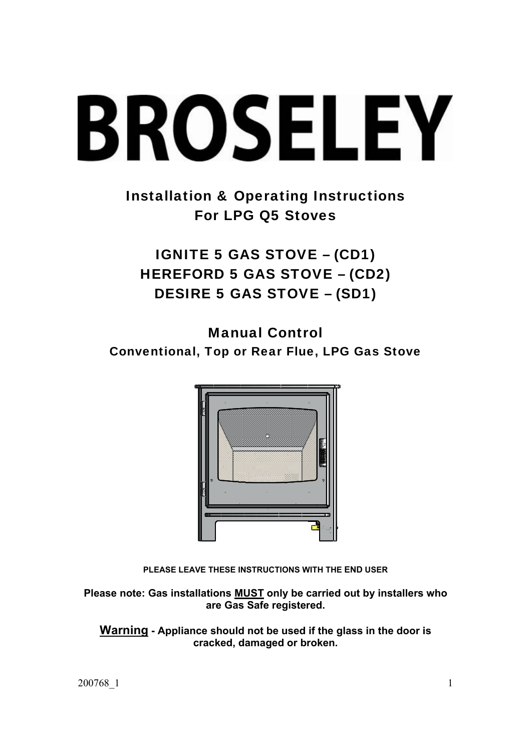# **BROSELEY**

Installation & Operating Instructions For LPG Q5 Stoves

IGNITE 5 GAS STOVE – (CD1) HEREFORD 5 GAS STOVE – (CD2) DESIRE 5 GAS STOVE – (SD1)

Manual Control Conventional, Top or Rear Flue, LPG Gas Stove



**PLEASE LEAVE THESE INSTRUCTIONS WITH THE END USER**

**Please note: Gas installations MUST only be carried out by installers who are Gas Safe registered.** 

**Warning - Appliance should not be used if the glass in the door is cracked, damaged or broken.**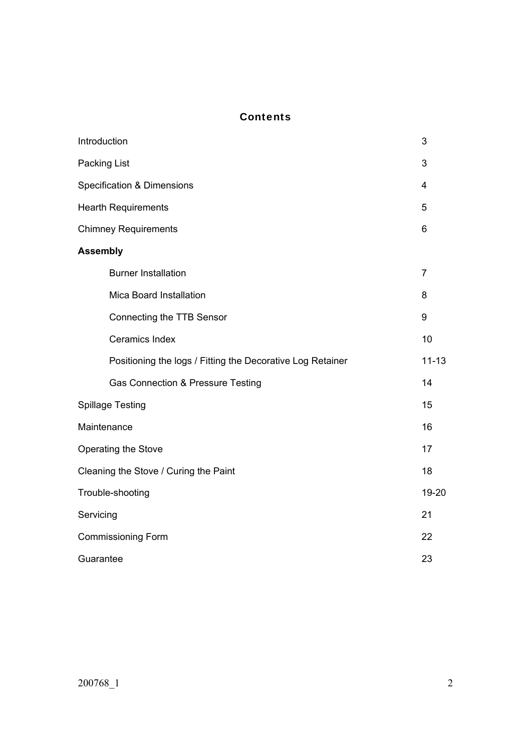# **Contents**

| Introduction                                               | 3              |
|------------------------------------------------------------|----------------|
| Packing List                                               | 3              |
| <b>Specification &amp; Dimensions</b>                      | 4              |
| <b>Hearth Requirements</b>                                 | 5              |
| <b>Chimney Requirements</b>                                | 6              |
| <b>Assembly</b>                                            |                |
| <b>Burner Installation</b>                                 | $\overline{7}$ |
| Mica Board Installation                                    | 8              |
| Connecting the TTB Sensor                                  | 9              |
| <b>Ceramics Index</b>                                      | 10             |
| Positioning the logs / Fitting the Decorative Log Retainer | $11 - 13$      |
| Gas Connection & Pressure Testing                          | 14             |
| <b>Spillage Testing</b>                                    | 15             |
| Maintenance                                                | 16             |
| Operating the Stove                                        | 17             |
| Cleaning the Stove / Curing the Paint                      | 18             |
| Trouble-shooting                                           | 19-20          |
| Servicing                                                  | 21             |
| <b>Commissioning Form</b>                                  | 22             |
| Guarantee                                                  | 23             |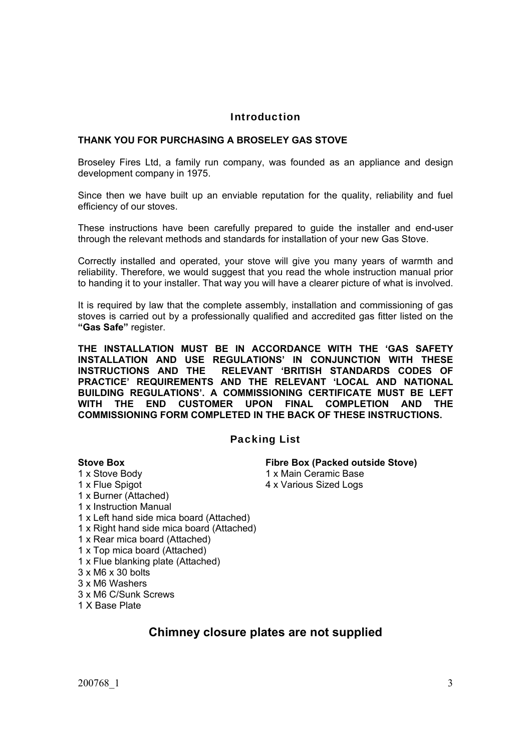### Introduction

#### **THANK YOU FOR PURCHASING A BROSELEY GAS STOVE**

Broseley Fires Ltd, a family run company, was founded as an appliance and design development company in 1975.

Since then we have built up an enviable reputation for the quality, reliability and fuel efficiency of our stoves.

These instructions have been carefully prepared to guide the installer and end-user through the relevant methods and standards for installation of your new Gas Stove.

Correctly installed and operated, your stove will give you many years of warmth and reliability. Therefore, we would suggest that you read the whole instruction manual prior to handing it to your installer. That way you will have a clearer picture of what is involved.

It is required by law that the complete assembly, installation and commissioning of gas stoves is carried out by a professionally qualified and accredited gas fitter listed on the **"Gas Safe"** register.

**THE INSTALLATION MUST BE IN ACCORDANCE WITH THE 'GAS SAFETY INSTALLATION AND USE REGULATIONS' IN CONJUNCTION WITH THESE INSTRUCTIONS AND THE RELEVANT 'BRITISH STANDARDS CODES OF PRACTICE' REQUIREMENTS AND THE RELEVANT 'LOCAL AND NATIONAL BUILDING REGULATIONS'. A COMMISSIONING CERTIFICATE MUST BE LEFT WITH THE END CUSTOMER UPON FINAL COMPLETION AND THE COMMISSIONING FORM COMPLETED IN THE BACK OF THESE INSTRUCTIONS.**

## Packing List

#### **Stove Box Fibre Box (Packed outside Stove)**

- 1 x Stove Body 1 x Main Ceramic Base
- 1 x Flue Spigot 4 x Various Sized Logs
- 1 x Burner (Attached)
- 1 x Instruction Manual
- 1 x Left hand side mica board (Attached)
- 1 x Right hand side mica board (Attached)
- 1 x Rear mica board (Attached)
- 1 x Top mica board (Attached)
- 1 x Flue blanking plate (Attached)
- 3 x M6 x 30 bolts
- 3 x M6 Washers
- 3 x M6 C/Sunk Screws
- 1 X Base Plate

# **Chimney closure plates are not supplied**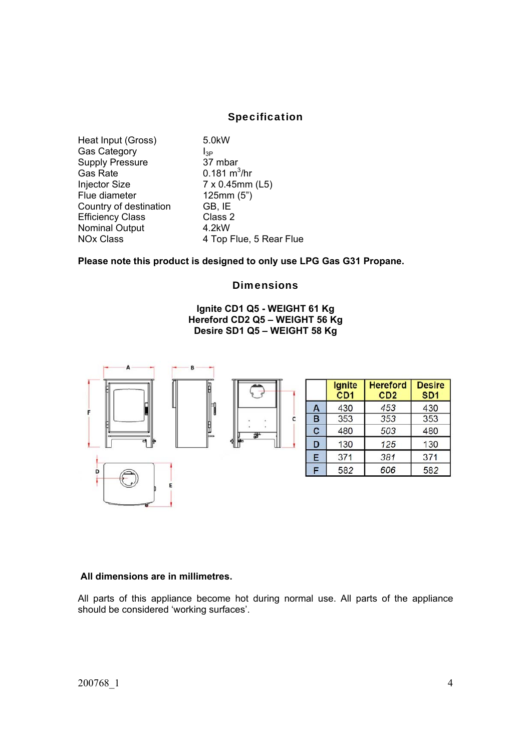## Specification

Heat Input (Gross) 5.0kW Gas Category<br>
Supply Pressure 37 mbar Supply Pressure Gas Rate  $\frac{0.181 \text{ m}^3}{\text{hr}}$ Injector Size 7 x 0.45mm (L5) Flue diameter 125mm (5") Country of destination GB, IE Efficiency Class Class 2 Nominal Output 4.2kW

NOx Class 4 Top Flue, 5 Rear Flue

**Please note this product is designed to only use LPG Gas G31 Propane.** 

#### **Dimensions**

#### **Ignite CD1 Q5 - WEIGHT 61 Kg Hereford CD2 Q5 – WEIGHT 56 Kg Desire SD1 Q5 – WEIGHT 58 Kg**



#### **All dimensions are in millimetres.**

All parts of this appliance become hot during normal use. All parts of the appliance should be considered 'working surfaces'.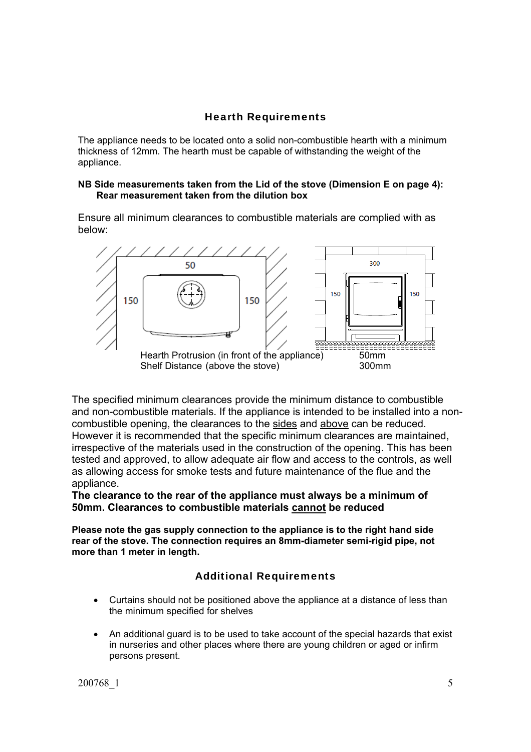## Hearth Requirements

The appliance needs to be located onto a solid non-combustible hearth with a minimum thickness of 12mm. The hearth must be capable of withstanding the weight of the appliance.

#### **NB Side measurements taken from the Lid of the stove (Dimension E on page 4): Rear measurement taken from the dilution box**

Ensure all minimum clearances to combustible materials are complied with as below:



The specified minimum clearances provide the minimum distance to combustible and non-combustible materials. If the appliance is intended to be installed into a noncombustible opening, the clearances to the sides and above can be reduced. However it is recommended that the specific minimum clearances are maintained, irrespective of the materials used in the construction of the opening. This has been tested and approved, to allow adequate air flow and access to the controls, as well as allowing access for smoke tests and future maintenance of the flue and the appliance.

**The clearance to the rear of the appliance must always be a minimum of 50mm. Clearances to combustible materials cannot be reduced**

**Please note the gas supply connection to the appliance is to the right hand side rear of the stove. The connection requires an 8mm-diameter semi-rigid pipe, not more than 1 meter in length.** 

## Additional Requirements

- Curtains should not be positioned above the appliance at a distance of less than the minimum specified for shelves
- An additional guard is to be used to take account of the special hazards that exist in nurseries and other places where there are young children or aged or infirm persons present.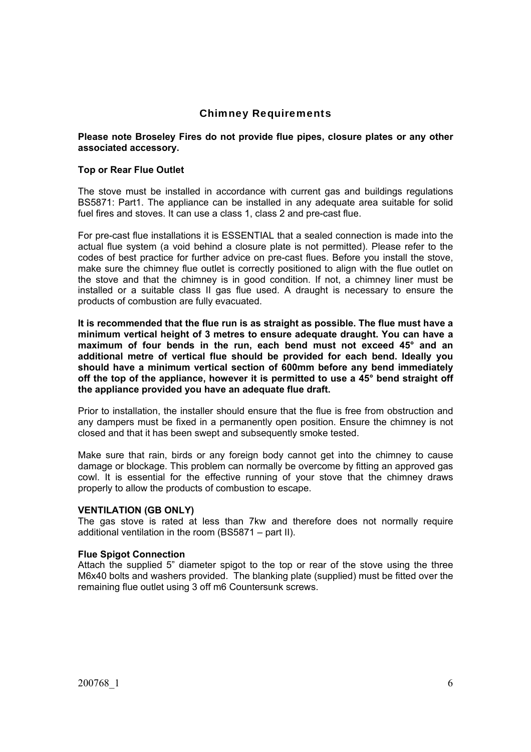## Chimney Requirements

#### **Please note Broseley Fires do not provide flue pipes, closure plates or any other associated accessory.**

#### **Top or Rear Flue Outlet**

The stove must be installed in accordance with current gas and buildings regulations BS5871: Part1. The appliance can be installed in any adequate area suitable for solid fuel fires and stoves. It can use a class 1, class 2 and pre-cast flue.

For pre-cast flue installations it is ESSENTIAL that a sealed connection is made into the actual flue system (a void behind a closure plate is not permitted). Please refer to the codes of best practice for further advice on pre-cast flues. Before you install the stove, make sure the chimney flue outlet is correctly positioned to align with the flue outlet on the stove and that the chimney is in good condition. If not, a chimney liner must be installed or a suitable class II gas flue used. A draught is necessary to ensure the products of combustion are fully evacuated.

**It is recommended that the flue run is as straight as possible. The flue must have a minimum vertical height of 3 metres to ensure adequate draught. You can have a maximum of four bends in the run, each bend must not exceed 45° and an additional metre of vertical flue should be provided for each bend. Ideally you should have a minimum vertical section of 600mm before any bend immediately off the top of the appliance, however it is permitted to use a 45° bend straight off the appliance provided you have an adequate flue draft.** 

Prior to installation, the installer should ensure that the flue is free from obstruction and any dampers must be fixed in a permanently open position. Ensure the chimney is not closed and that it has been swept and subsequently smoke tested.

Make sure that rain, birds or any foreign body cannot get into the chimney to cause damage or blockage. This problem can normally be overcome by fitting an approved gas cowl. It is essential for the effective running of your stove that the chimney draws properly to allow the products of combustion to escape.

#### **VENTILATION (GB ONLY)**

The gas stove is rated at less than 7kw and therefore does not normally require additional ventilation in the room (BS5871 – part II).

#### **Flue Spigot Connection**

Attach the supplied 5" diameter spigot to the top or rear of the stove using the three M6x40 bolts and washers provided. The blanking plate (supplied) must be fitted over the remaining flue outlet using 3 off m6 Countersunk screws.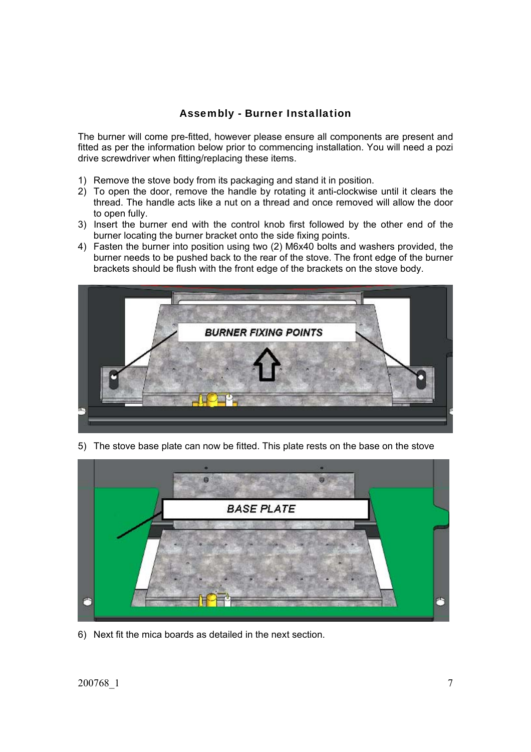# Assembly - Burner Installation

The burner will come pre-fitted, however please ensure all components are present and fitted as per the information below prior to commencing installation. You will need a pozi drive screwdriver when fitting/replacing these items.

- 1) Remove the stove body from its packaging and stand it in position.
- 2) To open the door, remove the handle by rotating it anti-clockwise until it clears the thread. The handle acts like a nut on a thread and once removed will allow the door to open fully.
- 3) Insert the burner end with the control knob first followed by the other end of the burner locating the burner bracket onto the side fixing points.
- 4) Fasten the burner into position using two (2) M6x40 bolts and washers provided, the burner needs to be pushed back to the rear of the stove. The front edge of the burner brackets should be flush with the front edge of the brackets on the stove body.



5) The stove base plate can now be fitted. This plate rests on the base on the stove



6) Next fit the mica boards as detailed in the next section.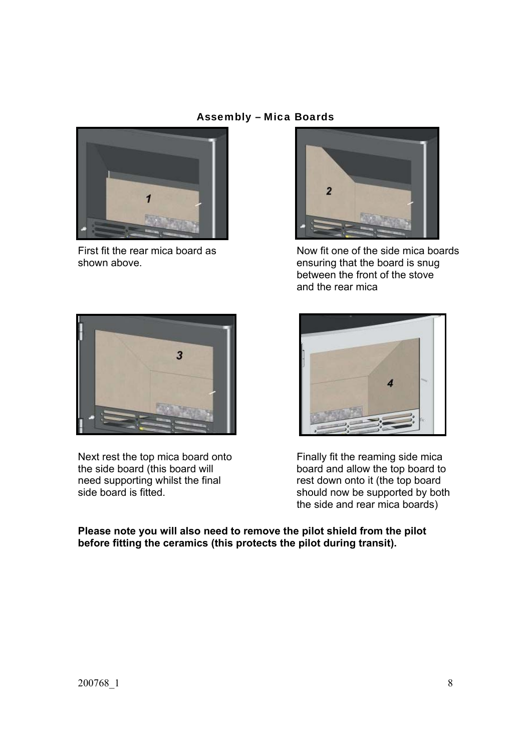## Assembly – Mica Boards





First fit the rear mica board as Now fit one of the side mica boards shown above. ensuring that the board is snug between the front of the stove and the rear mica



Next rest the top mica board onto<br>the side board (this board will board and allow the top board to the side board (this board will board and allow the top board to need supporting whilst the final rest down onto it (the top board



rest down onto it (the top board side board is fitted. Should now be supported by both the side and rear mica boards)

**Please note you will also need to remove the pilot shield from the pilot before fitting the ceramics (this protects the pilot during transit).**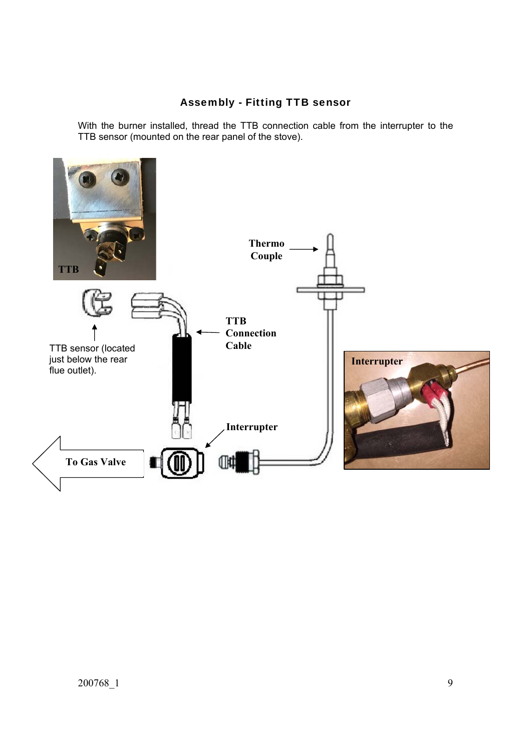# Assembly - Fitting TTB sensor

With the burner installed, thread the TTB connection cable from the interrupter to the TTB sensor (mounted on the rear panel of the stove).

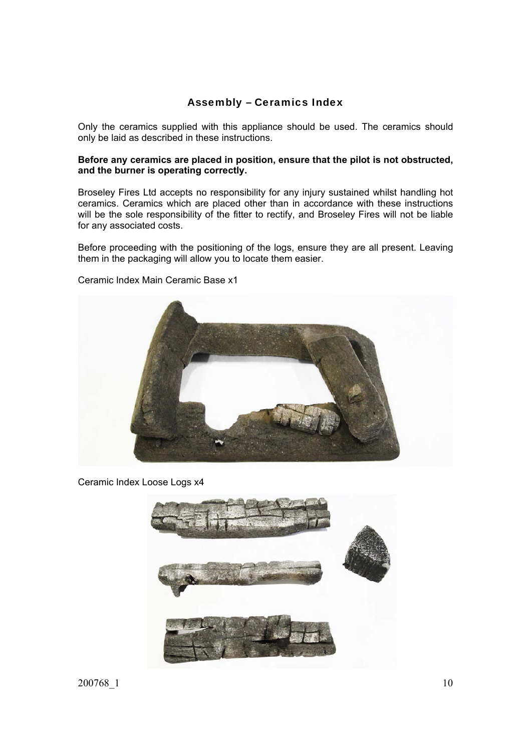## Assembly – Ceramics Index

Only the ceramics supplied with this appliance should be used. The ceramics should only be laid as described in these instructions.

#### **Before any ceramics are placed in position, ensure that the pilot is not obstructed, and the burner is operating correctly.**

Broseley Fires Ltd accepts no responsibility for any injury sustained whilst handling hot ceramics. Ceramics which are placed other than in accordance with these instructions will be the sole responsibility of the fitter to rectify, and Broseley Fires will not be liable for any associated costs.

Before proceeding with the positioning of the logs, ensure they are all present. Leaving them in the packaging will allow you to locate them easier.



Ceramic Index Main Ceramic Base x1

Ceramic Index Loose Logs x4



200768\_1 10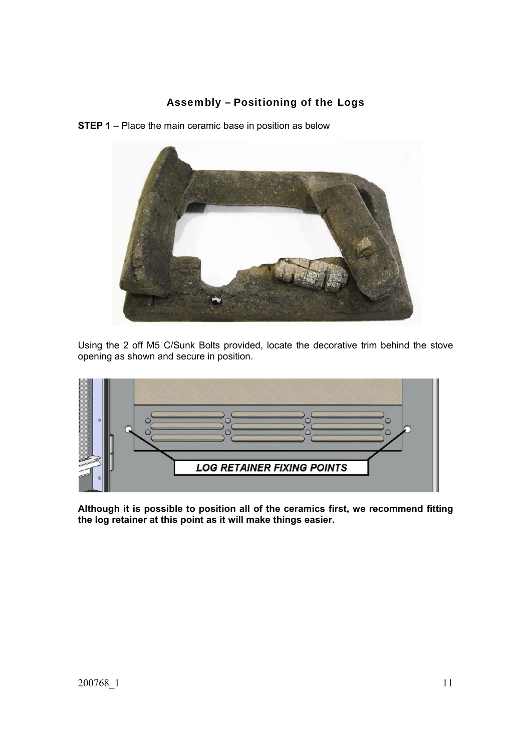# Assembly – Positioning of the Logs

**STEP 1** – Place the main ceramic base in position as below



Using the 2 off M5 C/Sunk Bolts provided, locate the decorative trim behind the stove opening as shown and secure in position.



**Although it is possible to position all of the ceramics first, we recommend fitting the log retainer at this point as it will make things easier.**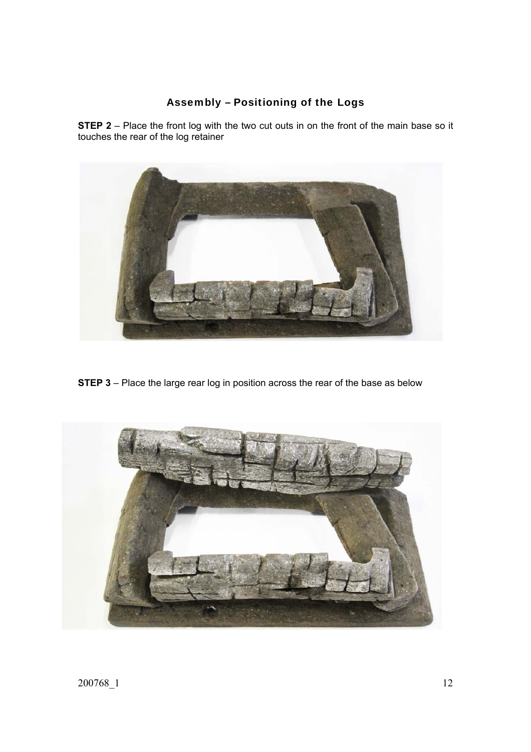# Assembly – Positioning of the Logs

**STEP 2** – Place the front log with the two cut outs in on the front of the main base so it touches the rear of the log retainer



**STEP 3** – Place the large rear log in position across the rear of the base as below

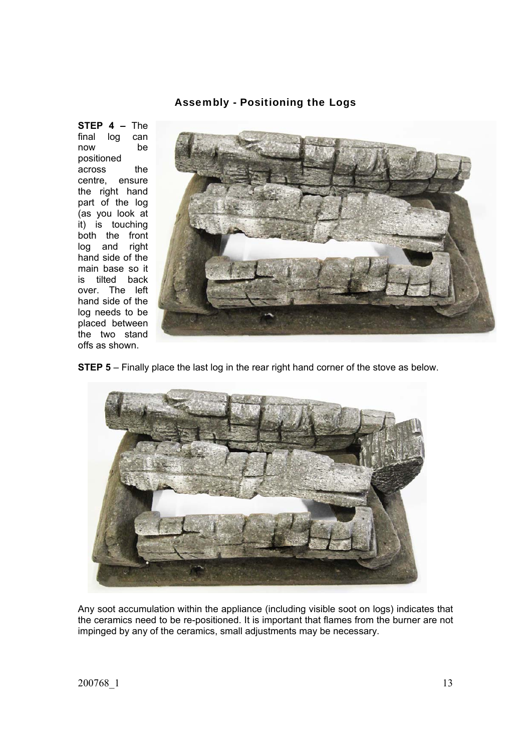### Assembly - Positioning the Logs

**STEP 4 –** The final log can now be positioned across the centre, ensure the right hand part of the log (as you look at it) is touching both the front log and right hand side of the main base so it is tilted back over. The left hand side of the log needs to be placed between the two stand offs as shown.



**STEP 5** – Finally place the last log in the rear right hand corner of the stove as below.



Any soot accumulation within the appliance (including visible soot on logs) indicates that the ceramics need to be re-positioned. It is important that flames from the burner are not impinged by any of the ceramics, small adjustments may be necessary.

200768\_1 13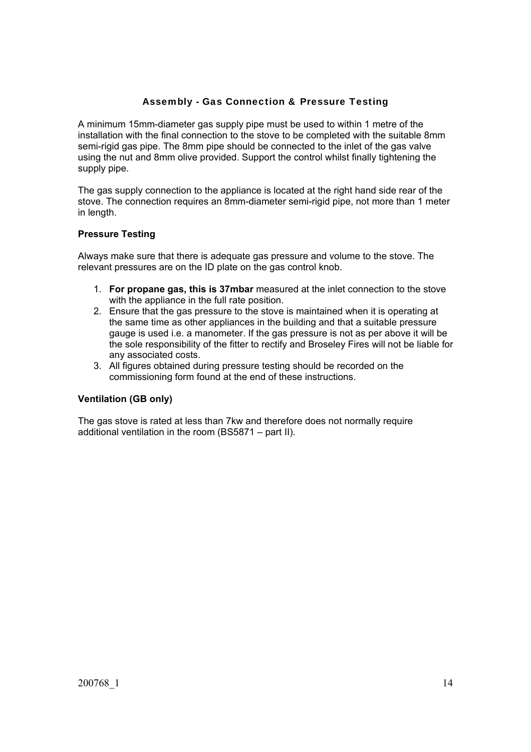## Assembly - Gas Connection & Pressure Testing

A minimum 15mm-diameter gas supply pipe must be used to within 1 metre of the installation with the final connection to the stove to be completed with the suitable 8mm semi-rigid gas pipe. The 8mm pipe should be connected to the inlet of the gas valve using the nut and 8mm olive provided. Support the control whilst finally tightening the supply pipe.

The gas supply connection to the appliance is located at the right hand side rear of the stove. The connection requires an 8mm-diameter semi-rigid pipe, not more than 1 meter in length.

## **Pressure Testing**

Always make sure that there is adequate gas pressure and volume to the stove. The relevant pressures are on the ID plate on the gas control knob.

- 1. **For propane gas, this is 37mbar** measured at the inlet connection to the stove with the appliance in the full rate position.
- 2. Ensure that the gas pressure to the stove is maintained when it is operating at the same time as other appliances in the building and that a suitable pressure gauge is used i.e. a manometer. If the gas pressure is not as per above it will be the sole responsibility of the fitter to rectify and Broseley Fires will not be liable for any associated costs.
- 3. All figures obtained during pressure testing should be recorded on the commissioning form found at the end of these instructions.

## **Ventilation (GB only)**

The gas stove is rated at less than 7kw and therefore does not normally require additional ventilation in the room (BS5871 – part II).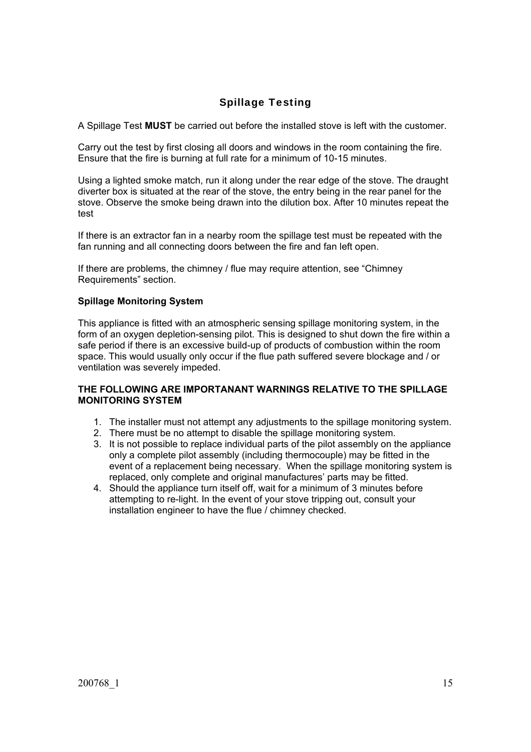# Spillage Testing

A Spillage Test **MUST** be carried out before the installed stove is left with the customer.

Carry out the test by first closing all doors and windows in the room containing the fire. Ensure that the fire is burning at full rate for a minimum of 10-15 minutes.

Using a lighted smoke match, run it along under the rear edge of the stove. The draught diverter box is situated at the rear of the stove, the entry being in the rear panel for the stove. Observe the smoke being drawn into the dilution box. After 10 minutes repeat the test

If there is an extractor fan in a nearby room the spillage test must be repeated with the fan running and all connecting doors between the fire and fan left open.

If there are problems, the chimney / flue may require attention, see "Chimney Requirements" section.

#### **Spillage Monitoring System**

This appliance is fitted with an atmospheric sensing spillage monitoring system, in the form of an oxygen depletion-sensing pilot. This is designed to shut down the fire within a safe period if there is an excessive build-up of products of combustion within the room space. This would usually only occur if the flue path suffered severe blockage and / or ventilation was severely impeded.

#### **THE FOLLOWING ARE IMPORTANANT WARNINGS RELATIVE TO THE SPILLAGE MONITORING SYSTEM**

- 1. The installer must not attempt any adjustments to the spillage monitoring system.
- 2. There must be no attempt to disable the spillage monitoring system.
- 3. It is not possible to replace individual parts of the pilot assembly on the appliance only a complete pilot assembly (including thermocouple) may be fitted in the event of a replacement being necessary. When the spillage monitoring system is replaced, only complete and original manufactures' parts may be fitted.
- 4. Should the appliance turn itself off, wait for a minimum of 3 minutes before attempting to re-light. In the event of your stove tripping out, consult your installation engineer to have the flue / chimney checked.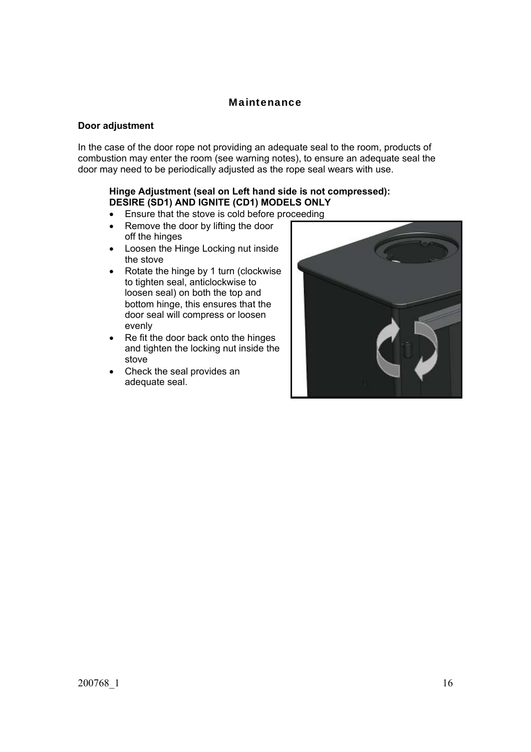## Maintenance

#### **Door adjustment**

In the case of the door rope not providing an adequate seal to the room, products of combustion may enter the room (see warning notes), to ensure an adequate seal the door may need to be periodically adjusted as the rope seal wears with use.

#### **Hinge Adjustment (seal on Left hand side is not compressed): DESIRE (SD1) AND IGNITE (CD1) MODELS ONLY**

- **Ensure that the stove is cold before proceeding**
- Remove the door by lifting the door off the hinges
- Loosen the Hinge Locking nut inside the stove
- Rotate the hinge by 1 turn (clockwise to tighten seal, anticlockwise to loosen seal) on both the top and bottom hinge, this ensures that the door seal will compress or loosen evenly
- Re fit the door back onto the hinges and tighten the locking nut inside the stove
- Check the seal provides an adequate seal.

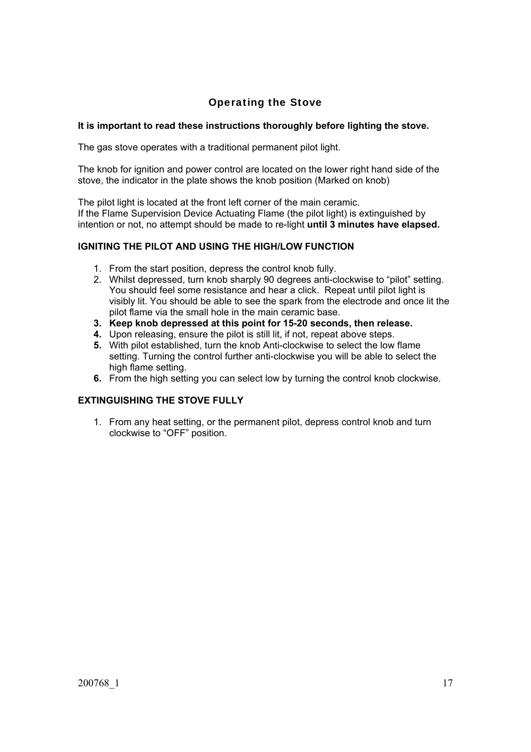# Operating the Stove

## **It is important to read these instructions thoroughly before lighting the stove.**

The gas stove operates with a traditional permanent pilot light.

The knob for ignition and power control are located on the lower right hand side of the stove, the indicator in the plate shows the knob position (Marked on knob)

The pilot light is located at the front left corner of the main ceramic. If the Flame Supervision Device Actuating Flame (the pilot light) is extinguished by intention or not, no attempt should be made to re-light **until 3 minutes have elapsed.** 

## **IGNITING THE PILOT AND USING THE HIGH/LOW FUNCTION**

- 1. From the start position, depress the control knob fully.
- 2. Whilst depressed, turn knob sharply 90 degrees anti-clockwise to "pilot" setting. You should feel some resistance and hear a click. Repeat until pilot light is visibly lit. You should be able to see the spark from the electrode and once lit the pilot flame via the small hole in the main ceramic base.
- **3. Keep knob depressed at this point for 15-20 seconds, then release.**
- **4.** Upon releasing, ensure the pilot is still lit, if not, repeat above steps.
- **5.** With pilot established, turn the knob Anti-clockwise to select the low flame setting. Turning the control further anti-clockwise you will be able to select the high flame setting.
- **6.** From the high setting you can select low by turning the control knob clockwise.

## **EXTINGUISHING THE STOVE FULLY**

1. From any heat setting, or the permanent pilot, depress control knob and turn clockwise to "OFF" position.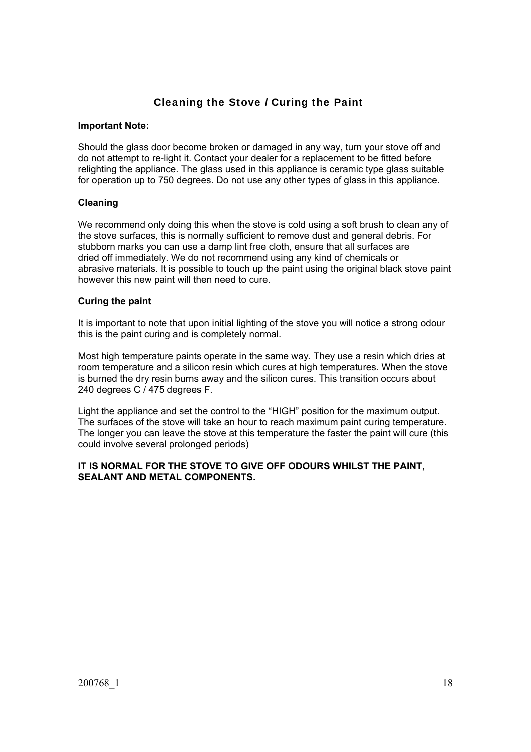# Cleaning the Stove / Curing the Paint

#### **Important Note:**

Should the glass door become broken or damaged in any way, turn your stove off and do not attempt to re-light it. Contact your dealer for a replacement to be fitted before relighting the appliance. The glass used in this appliance is ceramic type glass suitable for operation up to 750 degrees. Do not use any other types of glass in this appliance.

#### **Cleaning**

We recommend only doing this when the stove is cold using a soft brush to clean any of the stove surfaces, this is normally sufficient to remove dust and general debris. For stubborn marks you can use a damp lint free cloth, ensure that all surfaces are dried off immediately. We do not recommend using any kind of chemicals or abrasive materials. It is possible to touch up the paint using the original black stove paint however this new paint will then need to cure.

#### **Curing the paint**

It is important to note that upon initial lighting of the stove you will notice a strong odour this is the paint curing and is completely normal.

Most high temperature paints operate in the same way. They use a resin which dries at room temperature and a silicon resin which cures at high temperatures. When the stove is burned the dry resin burns away and the silicon cures. This transition occurs about 240 degrees C / 475 degrees F.

Light the appliance and set the control to the "HIGH" position for the maximum output. The surfaces of the stove will take an hour to reach maximum paint curing temperature. The longer you can leave the stove at this temperature the faster the paint will cure (this could involve several prolonged periods)

### **IT IS NORMAL FOR THE STOVE TO GIVE OFF ODOURS WHILST THE PAINT, SEALANT AND METAL COMPONENTS.**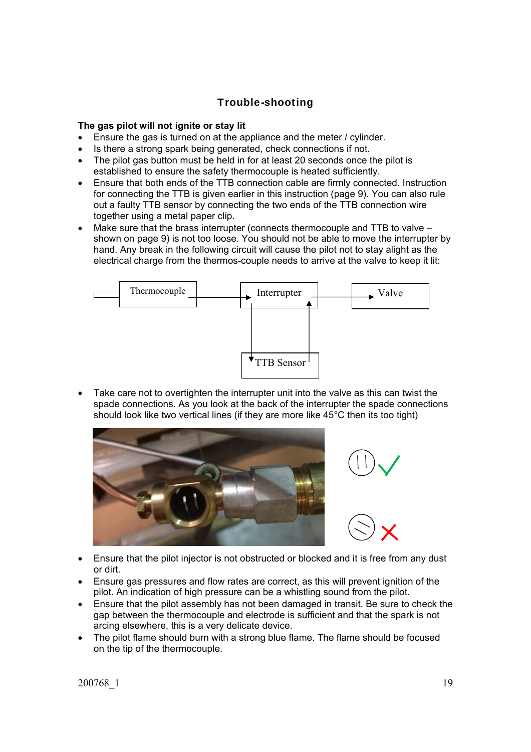# Trouble-shooting

### **The gas pilot will not ignite or stay lit**

- Ensure the gas is turned on at the appliance and the meter / cylinder.
- Is there a strong spark being generated, check connections if not.
- The pilot gas button must be held in for at least 20 seconds once the pilot is established to ensure the safety thermocouple is heated sufficiently.
- Ensure that both ends of the TTB connection cable are firmly connected. Instruction for connecting the TTB is given earlier in this instruction (page 9). You can also rule out a faulty TTB sensor by connecting the two ends of the TTB connection wire together using a metal paper clip.
- Make sure that the brass interrupter (connects thermocouple and TTB to valve shown on page 9) is not too loose. You should not be able to move the interrupter by hand. Any break in the following circuit will cause the pilot not to stay alight as the electrical charge from the thermos-couple needs to arrive at the valve to keep it lit:



 Take care not to overtighten the interrupter unit into the valve as this can twist the spade connections. As you look at the back of the interrupter the spade connections should look like two vertical lines (if they are more like 45°C then its too tight)





- Ensure that the pilot injector is not obstructed or blocked and it is free from any dust or dirt.
- Ensure gas pressures and flow rates are correct, as this will prevent ignition of the pilot. An indication of high pressure can be a whistling sound from the pilot.
- Ensure that the pilot assembly has not been damaged in transit. Be sure to check the gap between the thermocouple and electrode is sufficient and that the spark is not arcing elsewhere, this is a very delicate device.
- The pilot flame should burn with a strong blue flame. The flame should be focused on the tip of the thermocouple.

200768\_1 19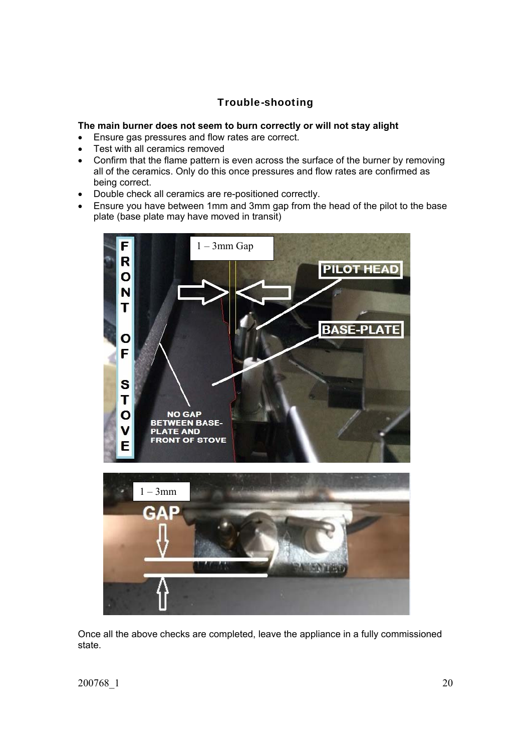# Trouble-shooting

### **The main burner does not seem to burn correctly or will not stay alight**

- Ensure gas pressures and flow rates are correct.
- Test with all ceramics removed
- Confirm that the flame pattern is even across the surface of the burner by removing all of the ceramics. Only do this once pressures and flow rates are confirmed as being correct.
- Double check all ceramics are re-positioned correctly.
- Ensure you have between 1mm and 3mm gap from the head of the pilot to the base plate (base plate may have moved in transit)



Once all the above checks are completed, leave the appliance in a fully commissioned state.

200768\_1 20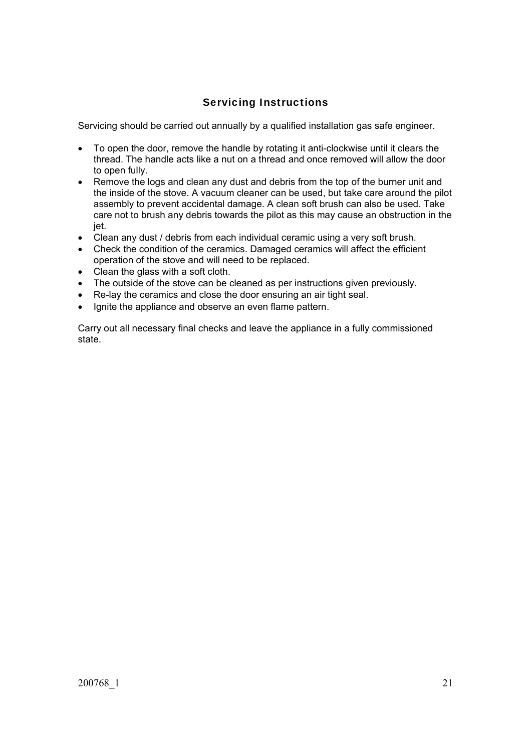# Servicing Instructions

Servicing should be carried out annually by a qualified installation gas safe engineer.

- To open the door, remove the handle by rotating it anti-clockwise until it clears the thread. The handle acts like a nut on a thread and once removed will allow the door to open fully.
- Remove the logs and clean any dust and debris from the top of the burner unit and the inside of the stove. A vacuum cleaner can be used, but take care around the pilot assembly to prevent accidental damage. A clean soft brush can also be used. Take care not to brush any debris towards the pilot as this may cause an obstruction in the jet.
- Clean any dust / debris from each individual ceramic using a very soft brush.
- Check the condition of the ceramics. Damaged ceramics will affect the efficient operation of the stove and will need to be replaced.
- Clean the glass with a soft cloth.
- The outside of the stove can be cleaned as per instructions given previously.
- Re-lay the ceramics and close the door ensuring an air tight seal.
- Ignite the appliance and observe an even flame pattern.

Carry out all necessary final checks and leave the appliance in a fully commissioned state.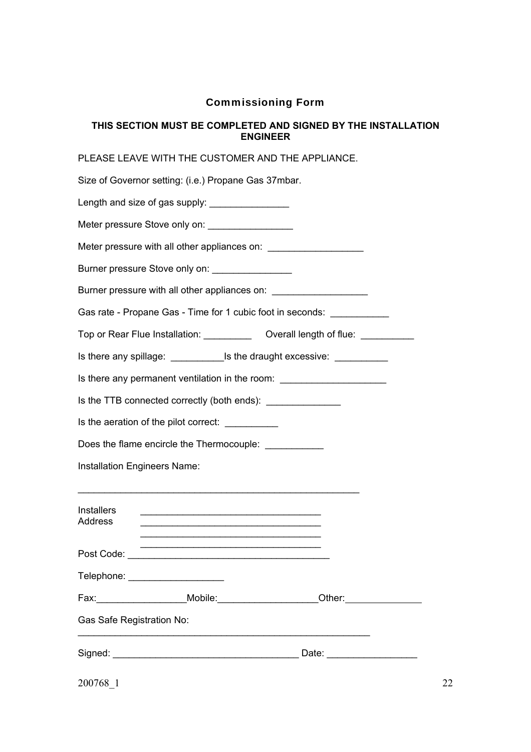## Commissioning Form

### **THIS SECTION MUST BE COMPLETED AND SIGNED BY THE INSTALLATION ENGINEER**

PLEASE LEAVE WITH THE CUSTOMER AND THE APPLIANCE.

200768\_1 22 Size of Governor setting: (i.e.) Propane Gas 37mbar. Length and size of gas supply:  $\Box$ Meter pressure Stove only on: Meter pressure with all other appliances on: Burner pressure Stove only on: Burner pressure with all other appliances on: Gas rate - Propane Gas - Time for 1 cubic foot in seconds: Top or Rear Flue Installation: Coverall length of flue: Coverall length of flue: Is there any spillage:  $\blacksquare$  Is the draught excessive: Is there any permanent ventilation in the room: Is the TTB connected correctly (both ends): \_\_\_\_\_\_\_\_\_\_\_\_\_\_ Is the aeration of the pilot correct: Does the flame encircle the Thermocouple: \_\_\_\_\_\_\_\_\_\_\_ Installation Engineers Name: \_\_\_\_\_\_\_\_\_\_\_\_\_\_\_\_\_\_\_\_\_\_\_\_\_\_\_\_\_\_\_\_\_\_\_\_\_\_\_\_\_\_\_\_\_\_\_\_\_\_\_\_\_ Installers \_\_\_\_\_\_\_\_\_\_\_\_\_\_\_\_\_\_\_\_\_\_\_\_\_\_\_\_\_\_\_\_\_\_ Address \_\_\_\_\_\_\_\_\_\_\_\_\_\_\_\_\_\_\_\_\_\_\_\_\_\_\_\_\_\_\_\_\_\_  $\mathcal{L}_\text{max}$  , and the set of the set of the set of the set of the set of the set of the set of the set of the set of the set of the set of the set of the set of the set of the set of the set of the set of the set of the  $\mathcal{L}_\text{max}$  , and the set of the set of the set of the set of the set of the set of the set of the set of the set of the set of the set of the set of the set of the set of the set of the set of the set of the set of the Post Code: \_\_\_\_\_\_\_\_\_\_\_\_\_\_\_\_\_\_\_\_\_\_\_\_\_\_\_\_\_\_\_\_\_\_\_\_\_\_ Telephone: \_\_\_\_\_\_\_\_\_\_\_\_\_\_\_\_\_\_\_\_\_\_\_ Fax: Mobile: The Mobile: The Other: Gas Safe Registration No: \_\_\_\_\_\_\_\_\_\_\_\_\_\_\_\_\_\_\_\_\_\_\_\_\_\_\_\_\_\_\_\_\_\_\_\_\_\_\_\_\_\_\_\_\_\_\_\_\_\_\_\_\_\_\_ Signed: \_\_\_\_\_\_\_\_\_\_\_\_\_\_\_\_\_\_\_\_\_\_\_\_\_\_\_\_\_\_\_\_\_\_\_ Date: \_\_\_\_\_\_\_\_\_\_\_\_\_\_\_\_\_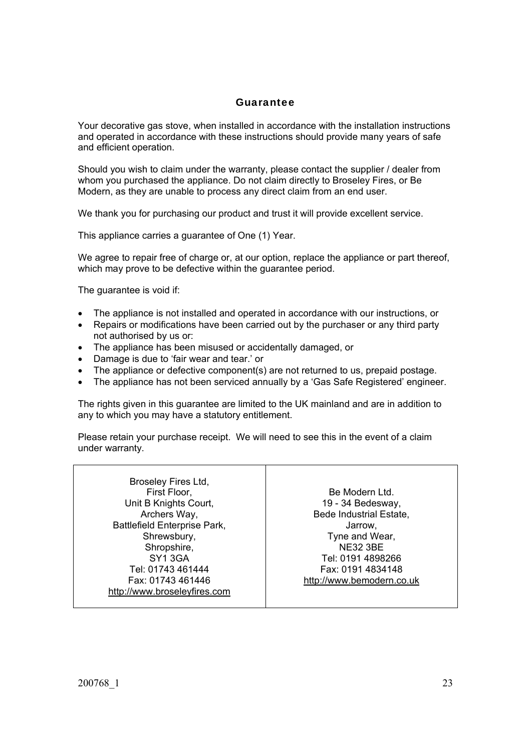## Guarantee

Your decorative gas stove, when installed in accordance with the installation instructions and operated in accordance with these instructions should provide many years of safe and efficient operation.

Should you wish to claim under the warranty, please contact the supplier / dealer from whom you purchased the appliance. Do not claim directly to Broseley Fires, or Be Modern, as they are unable to process any direct claim from an end user.

We thank you for purchasing our product and trust it will provide excellent service.

This appliance carries a guarantee of One (1) Year.

We agree to repair free of charge or, at our option, replace the appliance or part thereof, which may prove to be defective within the guarantee period.

The guarantee is void if:

- The appliance is not installed and operated in accordance with our instructions, or
- Repairs or modifications have been carried out by the purchaser or any third party not authorised by us or:
- The appliance has been misused or accidentally damaged, or
- Damage is due to 'fair wear and tear.' or
- The appliance or defective component(s) are not returned to us, prepaid postage.
- The appliance has not been serviced annually by a 'Gas Safe Registered' engineer.

The rights given in this guarantee are limited to the UK mainland and are in addition to any to which you may have a statutory entitlement.

Please retain your purchase receipt. We will need to see this in the event of a claim under warranty.

Broseley Fires Ltd, First Floor, Unit B Knights Court, Archers Way, Battlefield Enterprise Park, Shrewsbury, Shropshire, SY1 3GA Tel: 01743 461444 Fax: 01743 461446 http://www.broseleyfires.com

Be Modern Ltd. 19 - 34 Bedesway, Bede Industrial Estate, Jarrow, Tyne and Wear, NE32 3BE Tel: 0191 4898266 Fax: 0191 4834148 http://www.bemodern.co.uk